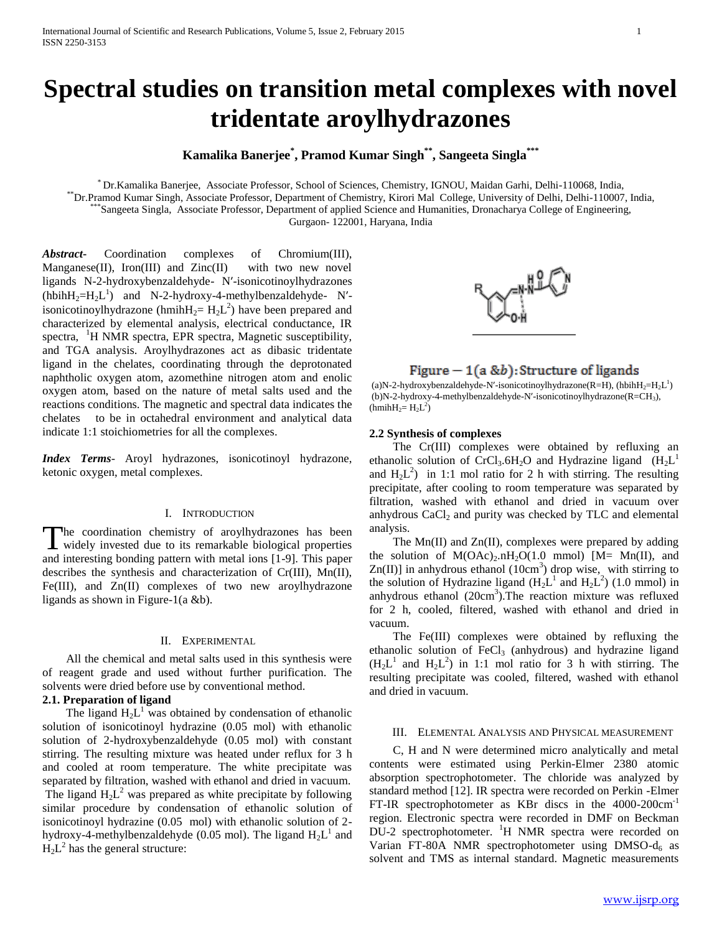# **Spectral studies on transition metal complexes with novel tridentate aroylhydrazones**

# **Kamalika Banerjee\* , Pramod Kumar Singh\*\* , Sangeeta Singla\*\*\***

\* Dr.Kamalika Banerjee, Associate Professor, School of Sciences, Chemistry, IGNOU, Maidan Garhi, Delhi-110068, India, \*\*Dr.Pramod Kumar Singh, Associate Professor, Department of Chemistry, Kirori Mal College, University of Delhi, Delhi-110007, India, \*Sangeeta Singla, Associate Professor, Department of applied Science and Humanities, Dronacharya College of Engineering, Gurgaon- 122001, Haryana, India

*Abstract***-** Coordination complexes of Chromium(III), Manganese(II), Iron(III) and  $Zinc(II)$  with two new novel ligands N-2-hydroxybenzaldehyde- N′-isonicotinoylhydrazones (hbih $H_2=H_2L^1$ ) and N-2-hydroxy-4-methylbenzaldehyde- N'isonicotinoylhydrazone (hmih $H_2 = H_2L^2$ ) have been prepared and characterized by elemental analysis, electrical conductance, IR spectra, <sup>1</sup>H NMR spectra, EPR spectra, Magnetic susceptibility, and TGA analysis. Aroylhydrazones act as dibasic tridentate ligand in the chelates, coordinating through the deprotonated naphtholic oxygen atom, azomethine nitrogen atom and enolic oxygen atom, based on the nature of metal salts used and the reactions conditions. The magnetic and spectral data indicates the chelates to be in octahedral environment and analytical data indicate 1:1 stoichiometries for all the complexes.

*Index Terms*- Aroyl hydrazones, isonicotinoyl hydrazone, ketonic oxygen, metal complexes.

#### I. INTRODUCTION

The coordination chemistry of aroylhydrazones has been The coordination chemistry of aroylhydrazones has been widely invested due to its remarkable biological properties and interesting bonding pattern with metal ions [1-9]. This paper describes the synthesis and characterization of Cr(III), Mn(II), Fe(III), and Zn(II) complexes of two new aroylhydrazone ligands as shown in Figure-1(a &b).

## II. EXPERIMENTAL

 All the chemical and metal salts used in this synthesis were of reagent grade and used without further purification. The solvents were dried before use by conventional method.

# **2.1. Preparation of ligand**

The ligand  $H_2L^1$  was obtained by condensation of ethanolic solution of isonicotinoyl hydrazine (0.05 mol) with ethanolic solution of 2-hydroxybenzaldehyde (0.05 mol) with constant stirring. The resulting mixture was heated under reflux for 3 h and cooled at room temperature. The white precipitate was separated by filtration, washed with ethanol and dried in vacuum. The ligand  $H_2L^2$  was prepared as white precipitate by following similar procedure by condensation of ethanolic solution of isonicotinoyl hydrazine (0.05 mol) with ethanolic solution of 2 hydroxy-4-methylbenzaldehyde (0.05 mol). The ligand  $H_2L^1$  and  $H_2L^2$  has the general structure:



# Figure  $-1(a & b)$ : Structure of ligands

(a)N-2-hydroxybenzaldehyde-N'-isonicotinoylhydrazone(R=H), (hbih $H_2=H_2L^1$ ) (b)N-2-hydroxy-4-methylbenzaldehyde-N′-isonicotinoylhydrazone(R=CH3),  $(hmihH_2=H_2L^2)$ 

#### **2.2 Synthesis of complexes**

 The Cr(III) complexes were obtained by refluxing an ethanolic solution of CrCl<sub>3</sub>.6H<sub>2</sub>O and Hydrazine ligand  $(H_2L^1)$ and  $H_2L^2$ ) in 1:1 mol ratio for 2 h with stirring. The resulting precipitate, after cooling to room temperature was separated by filtration, washed with ethanol and dried in vacuum over anhydrous  $CaCl<sub>2</sub>$  and purity was checked by TLC and elemental analysis.

 The Mn(II) and Zn(II), complexes were prepared by adding the solution of  $M(OAc)_2.nH_2O(1.0 mmol)$  [M= Mn(II), and  $Zn(II)$ ] in anhydrous ethanol (10cm<sup>3</sup>) drop wise, with stirring to the solution of Hydrazine ligand  $(H_2L^1$  and  $H_2L^2)$  (1.0 mmol) in anhydrous ethanol (20cm<sup>3</sup>). The reaction mixture was refluxed for 2 h, cooled, filtered, washed with ethanol and dried in vacuum.

 The Fe(III) complexes were obtained by refluxing the ethanolic solution of  $FeCl<sub>3</sub>$  (anhydrous) and hydrazine ligand  $(H_2L^1$  and  $H_2L^2$ ) in 1:1 mol ratio for 3 h with stirring. The resulting precipitate was cooled, filtered, washed with ethanol and dried in vacuum.

#### III. ELEMENTAL ANALYSIS AND PHYSICAL MEASUREMENT

 C, H and N were determined micro analytically and metal contents were estimated using Perkin-Elmer 2380 atomic absorption spectrophotometer. The chloride was analyzed by standard method [12]. IR spectra were recorded on Perkin -Elmer FT-IR spectrophotometer as KBr discs in the 4000-200cm-1 region. Electronic spectra were recorded in DMF on Beckman DU-2 spectrophotometer. <sup>1</sup>H NMR spectra were recorded on Varian FT-80A NMR spectrophotometer using  $DMSO-d<sub>6</sub>$  as solvent and TMS as internal standard. Magnetic measurements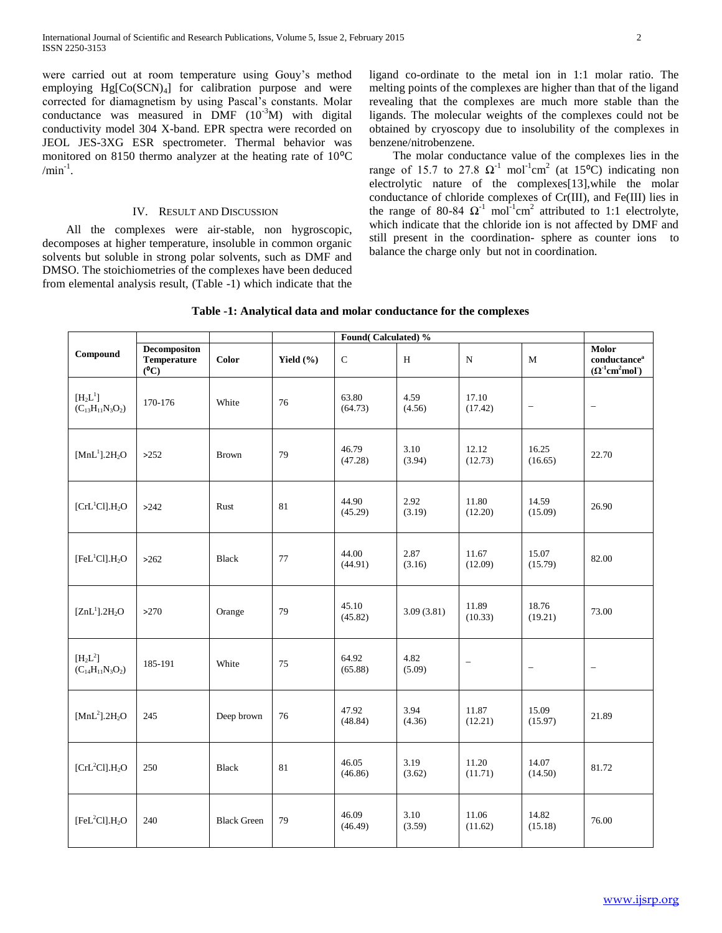were carried out at room temperature using Gouy's method employing  $Hg[Co(SCN)<sub>4</sub>]$  for calibration purpose and were corrected for diamagnetism by using Pascal's constants. Molar conductance was measured in DMF  $(10^{-3}M)$  with digital conductivity model 304 X-band. EPR spectra were recorded on JEOL JES-3XG ESR spectrometer. Thermal behavior was monitored on 8150 thermo analyzer at the heating rate of  $10^{\circ}$ C  $/min^{-1}$ .

## IV. RESULT AND DISCUSSION

 All the complexes were air-stable, non hygroscopic, decomposes at higher temperature, insoluble in common organic solvents but soluble in strong polar solvents, such as DMF and DMSO. The stoichiometries of the complexes have been deduced from elemental analysis result, (Table -1) which indicate that the ligand co-ordinate to the metal ion in 1:1 molar ratio. The melting points of the complexes are higher than that of the ligand revealing that the complexes are much more stable than the ligands. The molecular weights of the complexes could not be obtained by cryoscopy due to insolubility of the complexes in benzene/nitrobenzene.

 The molar conductance value of the complexes lies in the range of 15.7 to 27.8  $\Omega^{-1}$  mol<sup>-1</sup>cm<sup>2</sup> (at 15<sup>o</sup>C) indicating non electrolytic nature of the complexes[13],while the molar conductance of chloride complexes of Cr(III), and Fe(III) lies in the range of 80-84  $\Omega^{-1}$  mol<sup>-1</sup>cm<sup>2</sup> attributed to 1:1 electrolyte, which indicate that the chloride ion is not affected by DMF and still present in the coordination- sphere as counter ions to balance the charge only but not in coordination.

|                                        |                                                      |                    |               | Found(Calculated)% |                                            |                  |                          |                                                                                                 |  |
|----------------------------------------|------------------------------------------------------|--------------------|---------------|--------------------|--------------------------------------------|------------------|--------------------------|-------------------------------------------------------------------------------------------------|--|
| Compound                               | <b>Decompositon</b><br><b>Temperature</b><br>$(^0C)$ | <b>Color</b>       | Yield $(\% )$ | $\mathbf C$        | H                                          | ${\bf N}$        | $\mathbf M$              | Molor<br>$\mathbf{conductance}^\mathbf{a}$<br>$(\Omega^{-1}$ cm <sup>2</sup> mol <sup>-</sup> ) |  |
| $[H_2L^1]$<br>$(C_{13}H_{11}N_3O_2)$   | 170-176                                              | White              | 76            | 63.80<br>(64.73)   | 4.59<br>(4.56)                             | 17.10<br>(17.42) | $\overline{\phantom{a}}$ | $\overline{\phantom{a}}$                                                                        |  |
| [MnL <sup>1</sup> ].2H <sub>2</sub> O  | >252                                                 | <b>Brown</b>       | 79            | 46.79<br>(47.28)   | 3.10<br>(3.94)                             | 12.12<br>(12.73) | 16.25<br>(16.65)         | 22.70                                                                                           |  |
| [CrL <sup>1</sup> Cl].H <sub>2</sub> O | >242                                                 | Rust               | 81            | 44.90<br>(45.29)   | 2.92<br>(3.19)                             | 11.80<br>(12.20) | 14.59<br>(15.09)         | 26.90                                                                                           |  |
| [FeL <sup>1</sup> Cl].H <sub>2</sub> O | >262                                                 | <b>Black</b>       | 77            | 44.00<br>(44.91)   | 2.87<br>11.67<br>(3.16)<br>(12.09)         |                  | 15.07<br>(15.79)         | 82.00                                                                                           |  |
| [ZnL <sup>1</sup> ].2H <sub>2</sub> O  | >270                                                 | Orange             | 79            | 45.10<br>(45.82)   | 11.89<br>3.09(3.81)<br>(10.33)             |                  | 18.76<br>(19.21)         | 73.00                                                                                           |  |
| $[H_2L^2]$<br>$(C_{14}H_{11}N_3O_2)$   | 185-191                                              | White              | 75            | 64.92<br>(65.88)   | 4.82<br>$\overline{\phantom{0}}$<br>(5.09) |                  | $\overline{\phantom{a}}$ | $\overline{\phantom{m}}$                                                                        |  |
| [MnL <sup>2</sup> ].2H <sub>2</sub> O  | 245                                                  | Deep brown         | 76            | 47.92<br>(48.84)   | 3.94<br>11.87<br>(4.36)<br>(12.21)         |                  | 15.09<br>(15.97)         | 21.89                                                                                           |  |
| [CrL <sup>2</sup> Cl].H <sub>2</sub> O | 250                                                  | <b>Black</b>       | 81            | 46.05<br>(46.86)   | 3.19<br>11.20<br>(3.62)<br>(11.71)         |                  | 14.07<br>(14.50)         | 81.72                                                                                           |  |
| [FeL <sup>2</sup> Cl].H <sub>2</sub> O | 240                                                  | <b>Black Green</b> | 79            | 46.09<br>(46.49)   | 3.10<br>(3.59)                             | 11.06<br>(11.62) | 14.82<br>(15.18)         | 76.00                                                                                           |  |

## **Table -1: Analytical data and molar conductance for the complexes**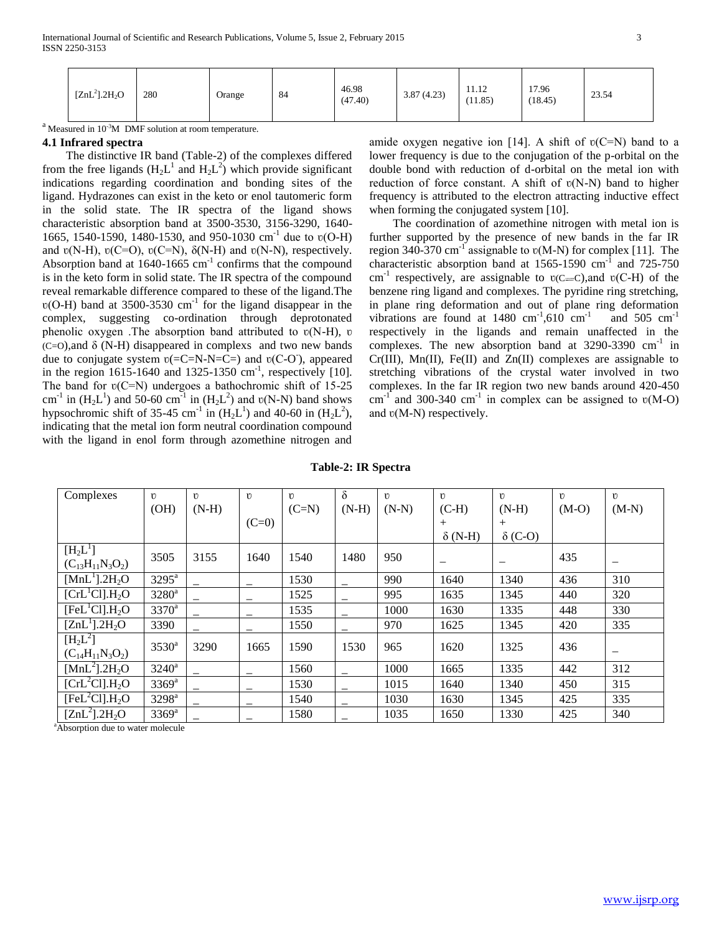| $[ZnL^2]$ .2H <sub>2</sub> O | 280 | $\sim$<br>Orange | 84 | 46.98<br>(47.40) | 3.87(4.23) | 11.12<br>(11.85) | 17.96<br>(18.45) | 23.54 |
|------------------------------|-----|------------------|----|------------------|------------|------------------|------------------|-------|
|                              |     |                  |    |                  |            |                  |                  |       |

 $a<sup>a</sup>$  Measured in 10<sup>-3</sup>M DMF solution at room temperature.

#### **4.1 Infrared spectra**

 The distinctive IR band (Table-2) of the complexes differed from the free ligands  $(H_2L^1$  and  $H_2L^2)$  which provide significant indications regarding coordination and bonding sites of the ligand. Hydrazones can exist in the keto or enol tautomeric form in the solid state. The IR spectra of the ligand shows characteristic absorption band at 3500-3530, 3156-3290, 1640- 1665, 1540-1590, 1480-1530, and 950-1030 cm<sup>-1</sup> due to v(O-H) and  $v(N-H)$ ,  $v(C=O)$ ,  $v(C=N)$ ,  $\delta(N-H)$  and  $v(N-N)$ , respectively. Absorption band at  $1640 - 1665$   $\text{cm}^{-1}$  confirms that the compound is in the keto form in solid state. The IR spectra of the compound reveal remarkable difference compared to these of the ligand.The  $v(O-H)$  band at 3500-3530 cm<sup>-1</sup> for the ligand disappear in the complex, suggesting co-ordination through deprotonated phenolic oxygen. The absorption band attributed to  $v(N-H)$ ,  $v$  $(C=O)$ , and  $\delta$  (N-H) disappeared in complexs and two new bands due to conjugate system  $v(=C=N-N=C=)$  and  $v(C-O)$ , appeared in the region  $1615$ -1640 and  $1325$ -1350 cm<sup>-1</sup>, respectively [10]. The band for  $v(C=N)$  undergoes a bathochromic shift of 15-25 cm<sup>-1</sup> in  $(H_2L^1)$  and 50-60 cm<sup>-1</sup> in  $(H_2L^2)$  and  $v(N-N)$  band shows hypsochromic shift of 35-45 cm<sup>-1</sup> in  $(H_2L^1)$  and 40-60 in  $(H_2L^2)$ , indicating that the metal ion form neutral coordination compound with the ligand in enol form through azomethine nitrogen and

amide oxygen negative ion [14]. A shift of  $v(C=N)$  band to a lower frequency is due to the conjugation of the p-orbital on the double bond with reduction of d-orbital on the metal ion with reduction of force constant. A shift of  $v(N-N)$  band to higher frequency is attributed to the electron attracting inductive effect when forming the conjugated system [10].

 The coordination of azomethine nitrogen with metal ion is further supported by the presence of new bands in the far IR region 340-370 cm<sup>-1</sup> assignable to  $v(M-N)$  for complex [11]. The characteristic absorption band at  $1565-1590$  cm<sup>-1</sup> and  $725-750$ cm<sup>-1</sup> respectively, are assignable to  $v(C=C)$ , and  $v(C-H)$  of the benzene ring ligand and complexes. The pyridine ring stretching, in plane ring deformation and out of plane ring deformation vibrations are found at  $1480 \text{ cm}^{-1}$ , 610 cm<sup>-1</sup> and  $505$  cm<sup>-1</sup> respectively in the ligands and remain unaffected in the complexes. The new absorption band at  $3290-3390$  cm<sup>-1</sup> in  $Cr(III)$ ,  $Mn(II)$ ,  $Fe(II)$  and  $Zn(II)$  complexes are assignable to stretching vibrations of the crystal water involved in two complexes. In the far IR region two new bands around 420-450 cm<sup>-1</sup> and 300-340 cm<sup>-1</sup> in complex can be assigned to  $v(M-O)$ and  $v(M-N)$  respectively.

**Table-2: IR Spectra**

| Complexes                                                                                                | $\mathbf{U}$        | $\mathbf{U}$ | $\mathbf{U}$             | $\mathbf{U}$ | $\delta$ | 17      | $\mathbf{U}$    | $\mathbf{U}$   | $\mathbf{U}$ | $\mathbf{U}$             |
|----------------------------------------------------------------------------------------------------------|---------------------|--------------|--------------------------|--------------|----------|---------|-----------------|----------------|--------------|--------------------------|
|                                                                                                          | (OH)                | $(N-H)$      |                          | $(C=N)$      | $(N-H)$  | $(N-N)$ | $(C-H)$         | $(N-H)$        | $(M-O)$      | $(M-N)$                  |
|                                                                                                          |                     |              | $(C=0)$                  |              |          |         | $^{+}$          | $^{+}$         |              |                          |
|                                                                                                          |                     |              |                          |              |          |         | $\delta$ (N-H)  | $\delta$ (C-O) |              |                          |
| $[H_2L^1]$<br>$(C_{13}H_{11}N_3O_2)$                                                                     | 3505                | 3155         | 1640                     | 1540         | 1480     | 950     | $\qquad \qquad$ |                | 435          |                          |
| $[MnL^1]$ .2H <sub>2</sub> O                                                                             | $3295^{\mathrm{a}}$ |              |                          | 1530         |          | 990     | 1640            | 1340           | 436          | 310                      |
| $\overline{\text{[CrL}^1\text{Cl} \cdot H_2\text{O}}$                                                    | $3280^a$            |              |                          | 1525         |          | 995     | 1635            | 1345           | 440          | 320                      |
| [FeL <sup>1</sup> Cl].H <sub>2</sub> O                                                                   | $3370^a$            |              | $\overline{\phantom{m}}$ | 1535         |          | 1000    | 1630            | 1335           | 448          | 330                      |
| $[ZnL^1]$ .2H <sub>2</sub> O                                                                             | 3390                |              |                          | 1550         |          | 970     | 1625            | 1345           | 420          | 335                      |
| $[H_2L^2]$<br>$(C_{14}H_{11}N_3O_2)$                                                                     | $3530$ <sup>a</sup> | 3290         | 1665                     | 1590         | 1530     | 965     | 1620            | 1325           | 436          | $\overline{\phantom{m}}$ |
| $[MnL^2]$ .2H <sub>2</sub> O                                                                             | $3240$ <sup>a</sup> |              |                          | 1560         |          | 1000    | 1665            | 1335           | 442          | 312                      |
| [CrL <sup>2</sup> Cl].H <sub>2</sub> O                                                                   | $3369$ <sup>a</sup> |              |                          | 1530         |          | 1015    | 1640            | 1340           | 450          | 315                      |
| [FeL <sup>2</sup> Cl].H <sub>2</sub> O]                                                                  | 3298 <sup>a</sup>   |              |                          | 1540         |          | 1030    | 1630            | 1345           | 425          | 335                      |
| $[ZnL^2]$ .2H <sub>2</sub> O<br>$\mathbf{A}$ and $\mathbf{A}$ and $\mathbf{A}$ are a set of $\mathbf{A}$ | $3369$ <sup>a</sup> |              |                          | 1580         |          | 1035    | 1650            | 1330           | 425          | 340                      |

<sup>a</sup>Absorption due to water molecule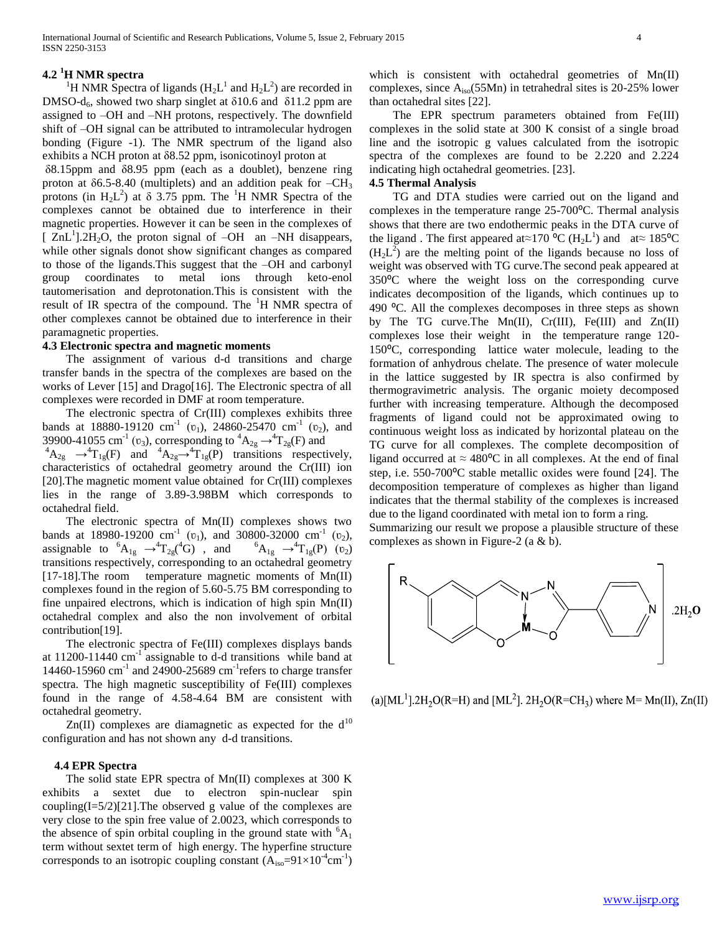## **4.2 <sup>1</sup>H NMR spectra**

<sup>1</sup>H NMR Spectra of ligands ( $H_2L^1$  and  $H_2L^2$ ) are recorded in DMSO-d<sub>6</sub>, showed two sharp singlet at  $\delta$ 10.6 and  $\delta$ 11.2 ppm are assigned to –OH and –NH protons, respectively. The downfield shift of –OH signal can be attributed to intramolecular hydrogen bonding (Figure -1). The NMR spectrum of the ligand also exhibits a NCH proton at δ8.52 ppm, isonicotinoyl proton at

δ8.15ppm and δ8.95 ppm (each as a doublet), benzene ring proton at  $\delta$ 6.5-8.40 (multiplets) and an addition peak for  $-CH_3$ protons (in  $H_2L^2$ ) at  $\delta$  3.75 ppm. The <sup>1</sup>H NMR Spectra of the complexes cannot be obtained due to interference in their magnetic properties. However it can be seen in the complexes of  $\left[$  ZnL<sup>1</sup>].2H<sub>2</sub>O, the proton signal of -OH an -NH disappears, while other signals donot show significant changes as compared to those of the ligands.This suggest that the –OH and carbonyl group coordinates to metal ions through keto-enol tautomerisation and deprotonation.This is consistent with the result of IR spectra of the compound. The  $H$  NMR spectra of other complexes cannot be obtained due to interference in their paramagnetic properties.

#### **4.3 Electronic spectra and magnetic moments**

 The assignment of various d-d transitions and charge transfer bands in the spectra of the complexes are based on the works of Lever [15] and Drago[16]. The Electronic spectra of all complexes were recorded in DMF at room temperature.

 The electronic spectra of Cr(III) complexes exhibits three bands at 18880-19120 cm<sup>-1</sup> ( $v_1$ ), 24860-25470 cm<sup>-1</sup> ( $v_2$ ), and 39900-41055 cm<sup>-1</sup> ( $v_3$ ), corresponding to  ${}^4A_{2g} \rightarrow {}^4T_{2g}(F)$  and  ${}^{4}A_{2g} \rightarrow {}^{4}T_{1g}(F)$  and  ${}^{4}A_{2g} \rightarrow {}^{4}T_{1g}(F)$  transitions respectively, characteristics of octahedral geometry around the Cr(III) ion [20].The magnetic moment value obtained for Cr(III) complexes lies in the range of 3.89-3.98BM which corresponds to octahedral field.

 The electronic spectra of Mn(II) complexes shows two bands at 18980-19200 cm<sup>-1</sup> ( $v_1$ ), and 30800-32000 cm<sup>-1</sup> ( $v_2$ ), assignable to  ${}^{6}A_{1g} \rightarrow {}^{4}T_{2g}({}^{4}G)$ , and  ${}^{6}A_{1g} \rightarrow {}^{4}T_{1g}(P)$  ( $v_2$ ) transitions respectively, corresponding to an octahedral geometry [17-18].The room temperature magnetic moments of Mn(II) complexes found in the region of 5.60-5.75 BM corresponding to fine unpaired electrons, which is indication of high spin Mn(II) octahedral complex and also the non involvement of orbital contribution[19].

 The electronic spectra of Fe(III) complexes displays bands at  $11200 - 11440$  cm<sup>-1</sup> assignable to d-d transitions while band at 14460-15960 cm<sup>-1</sup> and 24900-25689 cm<sup>-1</sup> refers to charge transfer spectra. The high magnetic susceptibility of Fe(III) complexes found in the range of 4.58-4.64 BM are consistent with octahedral geometry.

 $Zn(II)$  complexes are diamagnetic as expected for the  $d^{10}$ configuration and has not shown any d-d transitions.

#### **4.4 EPR Spectra**

 The solid state EPR spectra of Mn(II) complexes at 300 K exhibits a sextet due to electron spin-nuclear spin coupling(I=5/2)[21].The observed g value of the complexes are very close to the spin free value of 2.0023, which corresponds to the absence of spin orbital coupling in the ground state with  ${}^{6}A_1$ term without sextet term of high energy. The hyperfine structure corresponds to an isotropic coupling constant  $(A_{iso}=91\times10^{-4}cm^{-1})$  which is consistent with octahedral geometries of Mn(II) complexes, since Aiso(55Mn) in tetrahedral sites is 20-25% lower than octahedral sites [22].

 The EPR spectrum parameters obtained from Fe(III) complexes in the solid state at 300 K consist of a single broad line and the isotropic g values calculated from the isotropic spectra of the complexes are found to be 2.220 and 2.224 indicating high octahedral geometries. [23].

## **4.5 Thermal Analysis**

 TG and DTA studies were carried out on the ligand and complexes in the temperature range 25-700°C. Thermal analysis shows that there are two endothermic peaks in the DTA curve of the ligand. The first appeared at≈170  $^{\circ}C$  (H<sub>2</sub>L<sup>1</sup>) and at≈ 185<sup>o</sup>C  $(H_2L^2)$  are the melting point of the ligands because no loss of weight was observed with TG curve.The second peak appeared at 350⁰C where the weight loss on the corresponding curve indicates decomposition of the ligands, which continues up to 490  $^{\circ}$ C. All the complexes decomposes in three steps as shown by The TG curve.The Mn(II), Cr(III), Fe(III) and Zn(II) complexes lose their weight in the temperature range 120- 150°C, corresponding lattice water molecule, leading to the formation of anhydrous chelate. The presence of water molecule in the lattice suggested by IR spectra is also confirmed by thermogravimetric analysis. The organic moiety decomposed further with increasing temperature. Although the decomposed fragments of ligand could not be approximated owing to continuous weight loss as indicated by horizontal plateau on the TG curve for all complexes. The complete decomposition of ligand occurred at  $\approx 480^{\circ}$ C in all complexes. At the end of final step, i.e. 550-700<sup>o</sup>C stable metallic oxides were found [24]. The decomposition temperature of complexes as higher than ligand indicates that the thermal stability of the complexes is increased due to the ligand coordinated with metal ion to form a ring.

Summarizing our result we propose a plausible structure of these complexes as shown in Figure-2 (a & b).



(a)[ML<sup>1</sup>].2H<sub>2</sub>O(R=H) and [ML<sup>2</sup>]. 2H<sub>2</sub>O(R=CH<sub>3</sub>) where M= Mn(II), Zn(II)